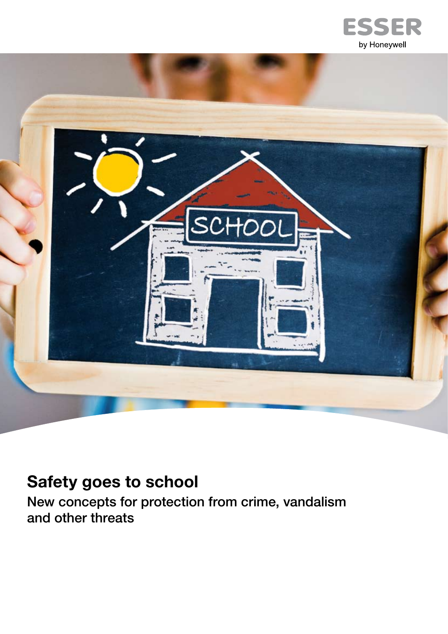



## **Safety goes to school**

New concepts for protection from crime, vandalism and other threats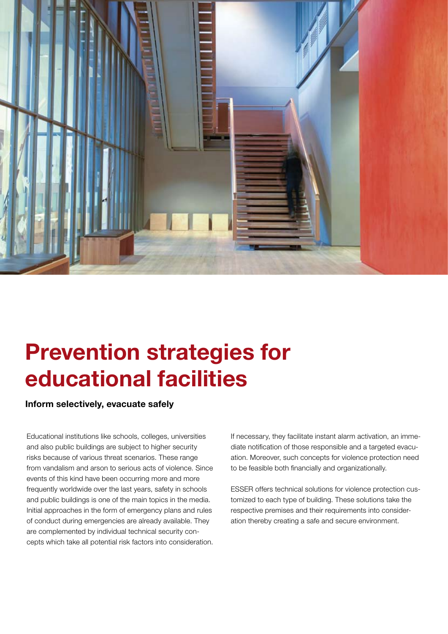

## **Prevention strategies for educational facilities**

**Inform selectively, evacuate safely** 

Educational institutions like schools, colleges, universities and also public buildings are subject to higher security risks because of various threat scenarios. These range from vandalism and arson to serious acts of violence. Since events of this kind have been occurring more and more frequently worldwide over the last years, safety in schools and public buildings is one of the main topics in the media. Initial approaches in the form of emergency plans and rules of conduct during emergencies are already available. They are complemented by individual technical security concepts which take all potential risk factors into consideration.

If necessary, they facilitate instant alarm activation, an immediate notification of those responsible and a targeted evacuation. Moreover, such concepts for violence protection need to be feasible both financially and organizationally.

ESSER offers technical solutions for violence protection customized to each type of building. These solutions take the respective premises and their requirements into consideration thereby creating a safe and secure environment.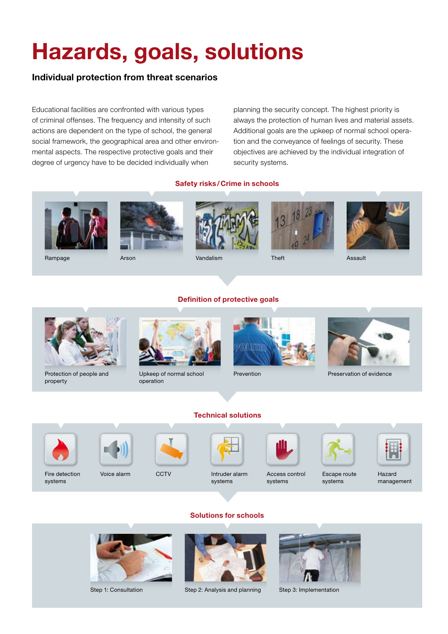# **Hazards, goals, solutions**

### **Individual protection from threat scenarios**

Educational facilities are confronted with various types of criminal offenses. The frequency and intensity of such actions are dependent on the type of school, the general social framework, the geographical area and other environmental aspects. The respective protective goals and their degree of urgency have to be decided individually when

Arson

planning the security concept. The highest priority is always the protection of human lives and material assets. Additional goals are the upkeep of normal school operation and the conveyance of feelings of security. These objectives are achieved by the individual integration of security systems.

#### **Safety risks/Crime in schools**













Assault

Rampage

Vandalism

Theft



Protection of people and property



Upkeep of normal school operation



Prevention



Preservation of evidence



systems

Fire detection Voice alarm CCTV





Intruder alarm systems



Access control systems



Escape route systems

Hazard management





**Solutions for schools**

Step 1: Consultation Step 2: Analysis and planning Step 3: Implementation





**Technical solutions**



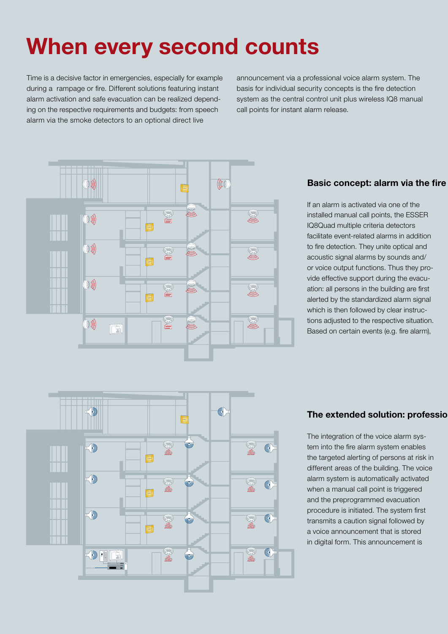# **When every second counts**

Time is a decisive factor in emergencies, especially for example during a rampage or fire. Different solutions featuring instant alarm activation and safe evacuation can be realized depending on the respective requirements and budgets: from speech alarm via the smoke detectors to an optional direct live

announcement via a professional voice alarm system. The basis for individual security concepts is the fire detection system as the central control unit plus wireless IQ8 manual call points for instant alarm release.



### **Basic concept: alarm via the fire**

If an alarm is activated via one of the installed manual call points, the ESSER IQ8Quad multiple criteria detectors facilitate event-related alarms in addition to fire detection. They unite optical and acoustic signal alarms by sounds and/ or voice output functions. Thus they provide effective support during the evacuation: all persons in the building are first alerted by the standardized alarm signal which is then followed by clear instructions adjusted to the respective situation. Based on certain events (e.g. fire alarm),



### **The extended solution: professio**

The integration of the voice alarm system into the fire alarm system enables the targeted alerting of persons at risk in different areas of the building. The voice alarm system is automatically activated when a manual call point is triggered and the preprogrammed evacuation procedure is initiated. The system first transmits a caution signal followed by a voice announcement that is stored in digital form. This announcement is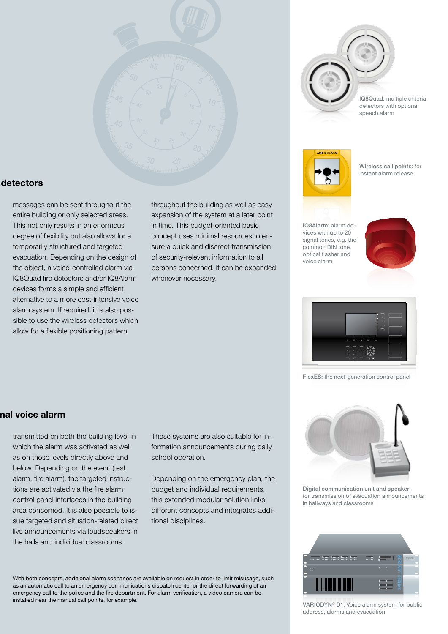

IQ8Quad: multiple criteria detectors with optional speech alarm



Wireless call points: for instant alarm release

IQ8Alarm: alarm devices with up to 20 signal tones, e.g. the common DIN tone, optical flasher and voice alarm





FlexES: the next-generation control panel

### detectors

messages can be sent throughout the entire building or only selected areas. This not only results in an enormous degree of flexibility but also allows for a temporarily structured and targeted evacuation. Depending on the design of the object, a voice-controlled alarm via IQ8Quad fire detectors and/or IQ8Alarm devices forms a simple and efficient alternative to a more cost-intensive voice alarm system. If required, it is also possible to use the wireless detectors which allow for a flexible positioning pattern

throughout the building as well as easy expansion of the system at a later point in time. This budget-oriented basic concept uses minimal resources to ensure a quick and discreet transmission of security-relevant information to all persons concerned. It can be expanded whenever necessary.

#### **The extended solution: professional voice alarm**

transmitted on both the building level in which the alarm was activated as well as on those levels directly above and below. Depending on the event (test alarm, fire alarm), the targeted instructions are activated via the fire alarm control panel interfaces in the building area concerned. It is also possible to issue targeted and situation-related direct live announcements via loudspeakers in the halls and individual classrooms.

These systems are also suitable for information announcements during daily school operation.

Depending on the emergency plan, the budget and individual requirements, this extended modular solution links different concepts and integrates additional disciplines.

Digital communication unit and speaker: for transmission of evacuation announcements in hallways and classrooms



VARIODYN® D1: Voice alarm system for public address, alarms and evacuation

With both concepts, additional alarm scenarios are available on request in order to limit misusage, such as an automatic call to an emergency communications dispatch center or the direct forwarding of an emergency call to the police and the fire department. For alarm verification, a video camera can be installed near the manual call points, for example.